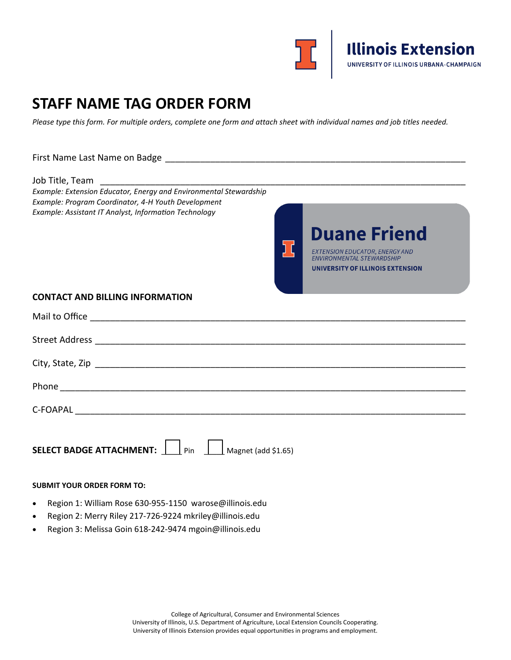

# **STAFF NAME TAG ORDER FORM**

*Please type this form. For multiple orders, complete one form and attach sheet with individual names and job titles needed.*

# First Name Last Name on Badge \_\_\_\_\_\_\_\_\_\_\_\_\_\_\_\_\_\_\_\_\_\_\_\_\_\_\_\_\_\_\_\_\_\_\_\_\_\_\_\_\_\_\_\_\_\_\_\_\_\_\_\_\_\_\_\_\_\_\_\_ Job Title, Team \_\_\_\_\_\_\_\_\_\_\_\_\_\_\_\_\_\_\_\_\_\_\_\_\_\_\_\_\_\_\_\_\_\_\_\_\_\_\_\_\_\_\_\_\_\_\_\_\_\_\_\_\_\_\_\_\_\_\_\_\_\_\_\_\_\_\_\_\_\_\_\_\_ *Example: Extension Educator, Energy and Environmental Stewardship Example: Program Coordinator, 4-H Youth Development Example: Assistant IT Analyst, Information Technology* **Duane Friend** EXTENSION EDUCATOR, ENERGY AND ENVIRONMENTAL STEWARDSHIP UNIVERSITY OF ILLINOIS EXTENSION **CONTACT AND BILLING INFORMATION** Mail to Office \_\_\_\_\_\_\_\_\_\_\_\_\_\_\_\_\_\_\_\_\_\_\_\_\_\_\_\_\_\_\_\_\_\_\_\_\_\_\_\_\_\_\_\_\_\_\_\_\_\_\_\_\_\_\_\_\_\_\_\_\_\_\_\_\_\_\_\_\_\_\_\_\_\_\_ Street Address \_\_\_\_\_\_\_\_\_\_\_\_\_\_\_\_\_\_\_\_\_\_\_\_\_\_\_\_\_\_\_\_\_\_\_\_\_\_\_\_\_\_\_\_\_\_\_\_\_\_\_\_\_\_\_\_\_\_\_\_\_\_\_\_\_\_\_\_\_\_\_\_\_\_ City, State, Zip \_\_\_\_\_\_\_\_\_\_\_\_\_\_\_\_\_\_\_\_\_\_\_\_\_\_\_\_\_\_\_\_\_\_\_\_\_\_\_\_\_\_\_\_\_\_\_\_\_\_\_\_\_\_\_\_\_\_\_\_\_\_\_\_\_\_\_\_\_\_\_\_\_\_ Phone \_\_\_\_\_\_\_\_\_\_\_\_\_\_\_\_\_\_\_\_\_\_\_\_\_\_\_\_\_\_\_\_\_\_\_\_\_\_\_\_\_\_\_\_\_\_\_\_\_\_\_\_\_\_\_\_\_\_\_\_\_\_\_\_\_\_\_\_\_\_\_\_\_\_\_\_\_\_\_\_\_  $C$ -FOAPAL  $\blacksquare$ **SELECT BADGE ATTACHMENT:**  $\boxed{\phantom{1}\phantom{1}}$  Pin  $\phantom{1}\phantom{1}\phantom{1}\phantom{1}$  Magnet (add \$1.65)

#### **SUBMIT YOUR ORDER FORM TO:**

- Region 1: William Rose 630-955-1150 warose@illinois.edu
- Region 2: Merry Riley 217-726-9224 mkriley@illinois.edu
- Region 3: Melissa Goin 618-242-9474 mgoin@illinois.edu